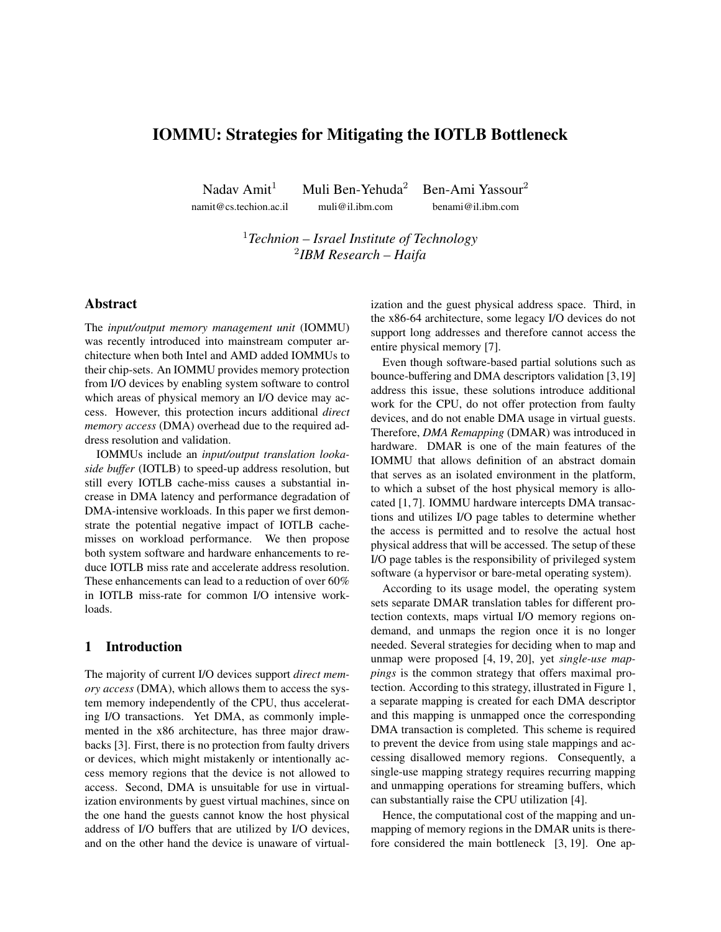# IOMMU: Strategies for Mitigating the IOTLB Bottleneck

Nadav Amit<sup>1</sup> Muli Ben-Yehuda<sup>2</sup> Ben-Ami Yassour<sup>2</sup> namit@cs.techion.ac.il muli@il.ibm.com benami@il.ibm.com

<sup>1</sup>*Technion – Israel Institute of Technology* 2 *IBM Research – Haifa*

## Abstract

The *input/output memory management unit* (IOMMU) was recently introduced into mainstream computer architecture when both Intel and AMD added IOMMUs to their chip-sets. An IOMMU provides memory protection from I/O devices by enabling system software to control which areas of physical memory an I/O device may access. However, this protection incurs additional *direct memory access* (DMA) overhead due to the required address resolution and validation.

IOMMUs include an *input/output translation lookaside buffer* (IOTLB) to speed-up address resolution, but still every IOTLB cache-miss causes a substantial increase in DMA latency and performance degradation of DMA-intensive workloads. In this paper we first demonstrate the potential negative impact of IOTLB cachemisses on workload performance. We then propose both system software and hardware enhancements to reduce IOTLB miss rate and accelerate address resolution. These enhancements can lead to a reduction of over 60% in IOTLB miss-rate for common I/O intensive workloads.

## 1 Introduction

The majority of current I/O devices support *direct memory access* (DMA), which allows them to access the system memory independently of the CPU, thus accelerating I/O transactions. Yet DMA, as commonly implemented in the x86 architecture, has three major drawbacks [3]. First, there is no protection from faulty drivers or devices, which might mistakenly or intentionally access memory regions that the device is not allowed to access. Second, DMA is unsuitable for use in virtualization environments by guest virtual machines, since on the one hand the guests cannot know the host physical address of I/O buffers that are utilized by I/O devices, and on the other hand the device is unaware of virtualization and the guest physical address space. Third, in the x86-64 architecture, some legacy I/O devices do not support long addresses and therefore cannot access the entire physical memory [7].

Even though software-based partial solutions such as bounce-buffering and DMA descriptors validation [3,19] address this issue, these solutions introduce additional work for the CPU, do not offer protection from faulty devices, and do not enable DMA usage in virtual guests. Therefore, *DMA Remapping* (DMAR) was introduced in hardware. DMAR is one of the main features of the IOMMU that allows definition of an abstract domain that serves as an isolated environment in the platform, to which a subset of the host physical memory is allocated [1, 7]. IOMMU hardware intercepts DMA transactions and utilizes I/O page tables to determine whether the access is permitted and to resolve the actual host physical address that will be accessed. The setup of these I/O page tables is the responsibility of privileged system software (a hypervisor or bare-metal operating system).

According to its usage model, the operating system sets separate DMAR translation tables for different protection contexts, maps virtual I/O memory regions ondemand, and unmaps the region once it is no longer needed. Several strategies for deciding when to map and unmap were proposed [4, 19, 20], yet *single-use mappings* is the common strategy that offers maximal protection. According to this strategy, illustrated in Figure 1, a separate mapping is created for each DMA descriptor and this mapping is unmapped once the corresponding DMA transaction is completed. This scheme is required to prevent the device from using stale mappings and accessing disallowed memory regions. Consequently, a single-use mapping strategy requires recurring mapping and unmapping operations for streaming buffers, which can substantially raise the CPU utilization [4].

Hence, the computational cost of the mapping and unmapping of memory regions in the DMAR units is therefore considered the main bottleneck [3, 19]. One ap-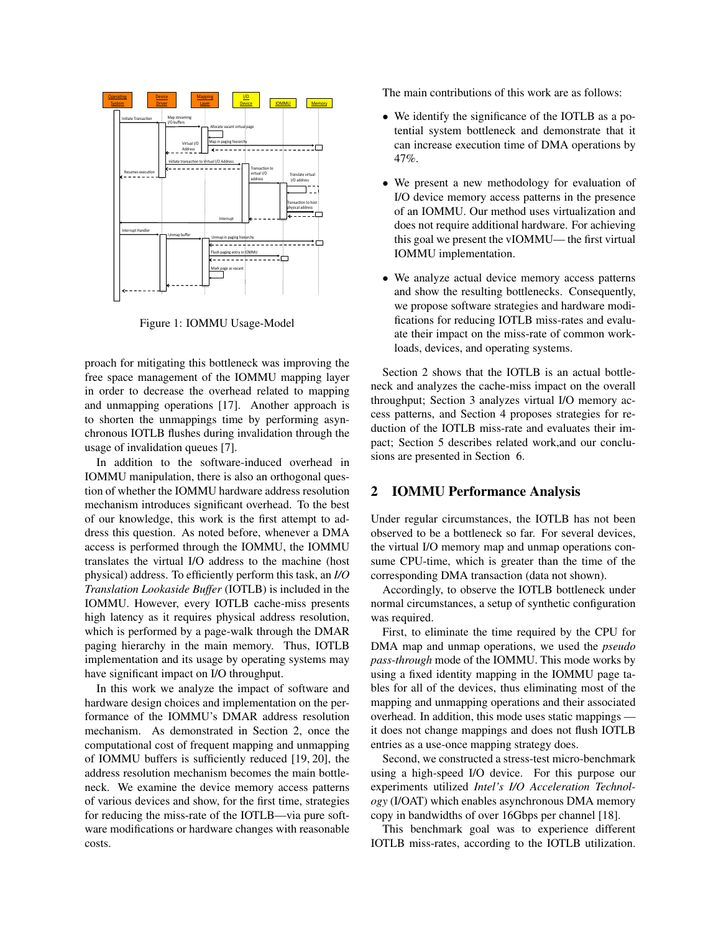

Figure 1: IOMMU Usage-Model

proach for mitigating this bottleneck was improving the free space management of the IOMMU mapping layer in order to decrease the overhead related to mapping and unmapping operations [17]. Another approach is to shorten the unmappings time by performing asynchronous IOTLB flushes during invalidation through the usage of invalidation queues [7].

In addition to the software-induced overhead in IOMMU manipulation, there is also an orthogonal question of whether the IOMMU hardware address resolution mechanism introduces significant overhead. To the best of our knowledge, this work is the first attempt to address this question. As noted before, whenever a DMA access is performed through the IOMMU, the IOMMU translates the virtual I/O address to the machine (host physical) address. To efficiently perform this task, an *I/O Translation Lookaside Buffer* (IOTLB) is included in the IOMMU. However, every IOTLB cache-miss presents high latency as it requires physical address resolution, which is performed by a page-walk through the DMAR paging hierarchy in the main memory. Thus, IOTLB implementation and its usage by operating systems may have significant impact on I/O throughput.

In this work we analyze the impact of software and hardware design choices and implementation on the performance of the IOMMU's DMAR address resolution mechanism. As demonstrated in Section 2, once the computational cost of frequent mapping and unmapping of IOMMU buffers is sufficiently reduced [19, 20], the address resolution mechanism becomes the main bottleneck. We examine the device memory access patterns of various devices and show, for the first time, strategies for reducing the miss-rate of the IOTLB—via pure software modifications or hardware changes with reasonable costs.

The main contributions of this work are as follows:

- We identify the significance of the IOTLB as a potential system bottleneck and demonstrate that it can increase execution time of DMA operations by 47%.
- We present a new methodology for evaluation of I/O device memory access patterns in the presence of an IOMMU. Our method uses virtualization and does not require additional hardware. For achieving this goal we present the vIOMMU— the first virtual IOMMU implementation.
- We analyze actual device memory access patterns and show the resulting bottlenecks. Consequently, we propose software strategies and hardware modifications for reducing IOTLB miss-rates and evaluate their impact on the miss-rate of common workloads, devices, and operating systems.

Section 2 shows that the IOTLB is an actual bottleneck and analyzes the cache-miss impact on the overall throughput; Section 3 analyzes virtual I/O memory access patterns, and Section 4 proposes strategies for reduction of the IOTLB miss-rate and evaluates their impact; Section 5 describes related work,and our conclusions are presented in Section 6.

## 2 IOMMU Performance Analysis

Under regular circumstances, the IOTLB has not been observed to be a bottleneck so far. For several devices, the virtual I/O memory map and unmap operations consume CPU-time, which is greater than the time of the corresponding DMA transaction (data not shown).

Accordingly, to observe the IOTLB bottleneck under normal circumstances, a setup of synthetic configuration was required.

First, to eliminate the time required by the CPU for DMA map and unmap operations, we used the *pseudo pass-through* mode of the IOMMU. This mode works by using a fixed identity mapping in the IOMMU page tables for all of the devices, thus eliminating most of the mapping and unmapping operations and their associated overhead. In addition, this mode uses static mappings it does not change mappings and does not flush IOTLB entries as a use-once mapping strategy does.

Second, we constructed a stress-test micro-benchmark using a high-speed I/O device. For this purpose our experiments utilized *Intel's I/O Acceleration Technology* (I/OAT) which enables asynchronous DMA memory copy in bandwidths of over 16Gbps per channel [18].

This benchmark goal was to experience different IOTLB miss-rates, according to the IOTLB utilization.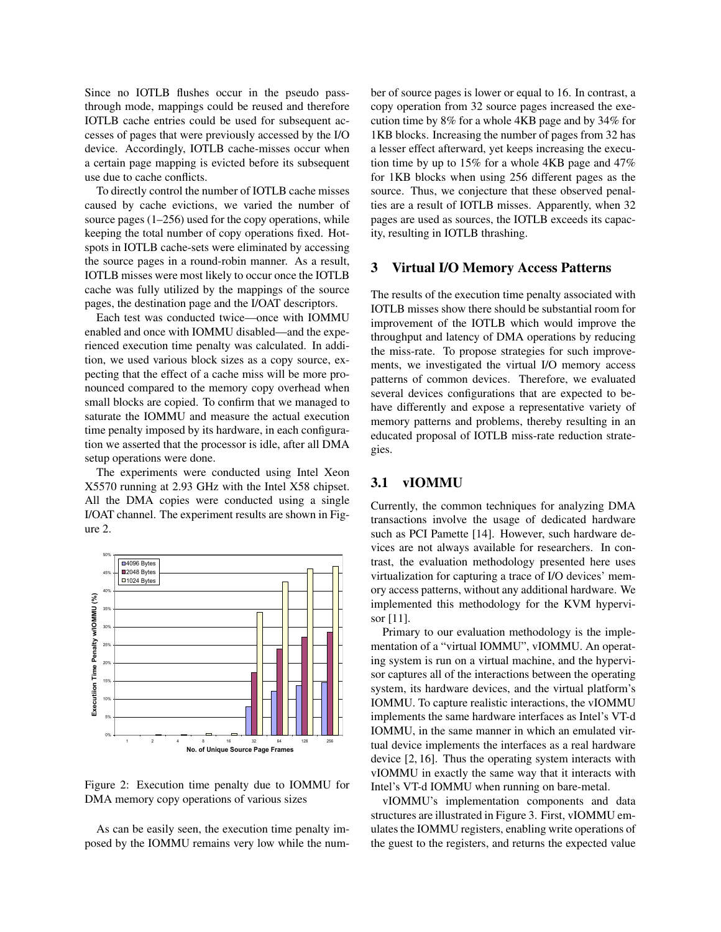Since no IOTLB flushes occur in the pseudo passthrough mode, mappings could be reused and therefore IOTLB cache entries could be used for subsequent accesses of pages that were previously accessed by the I/O device. Accordingly, IOTLB cache-misses occur when a certain page mapping is evicted before its subsequent use due to cache conflicts.

To directly control the number of IOTLB cache misses caused by cache evictions, we varied the number of source pages (1–256) used for the copy operations, while keeping the total number of copy operations fixed. Hotspots in IOTLB cache-sets were eliminated by accessing the source pages in a round-robin manner. As a result, IOTLB misses were most likely to occur once the IOTLB cache was fully utilized by the mappings of the source pages, the destination page and the I/OAT descriptors.

Each test was conducted twice—once with IOMMU enabled and once with IOMMU disabled—and the experienced execution time penalty was calculated. In addition, we used various block sizes as a copy source, expecting that the effect of a cache miss will be more pronounced compared to the memory copy overhead when small blocks are copied. To confirm that we managed to saturate the IOMMU and measure the actual execution time penalty imposed by its hardware, in each configuration we asserted that the processor is idle, after all DMA setup operations were done.

The experiments were conducted using Intel Xeon X5570 running at 2.93 GHz with the Intel X58 chipset. All the DMA copies were conducted using a single I/OAT channel. The experiment results are shown in Figure 2.



Figure 2: Execution time penalty due to IOMMU for DMA memory copy operations of various sizes

As can be easily seen, the execution time penalty imposed by the IOMMU remains very low while the number of source pages is lower or equal to 16. In contrast, a copy operation from 32 source pages increased the execution time by 8% for a whole 4KB page and by 34% for 1KB blocks. Increasing the number of pages from 32 has a lesser effect afterward, yet keeps increasing the execution time by up to 15% for a whole 4KB page and 47% for 1KB blocks when using 256 different pages as the source. Thus, we conjecture that these observed penalties are a result of IOTLB misses. Apparently, when 32 pages are used as sources, the IOTLB exceeds its capacity, resulting in IOTLB thrashing.

### 3 Virtual I/O Memory Access Patterns

The results of the execution time penalty associated with IOTLB misses show there should be substantial room for improvement of the IOTLB which would improve the throughput and latency of DMA operations by reducing the miss-rate. To propose strategies for such improvements, we investigated the virtual I/O memory access patterns of common devices. Therefore, we evaluated several devices configurations that are expected to behave differently and expose a representative variety of memory patterns and problems, thereby resulting in an educated proposal of IOTLB miss-rate reduction strategies.

## 3.1 vIOMMU

Currently, the common techniques for analyzing DMA transactions involve the usage of dedicated hardware such as PCI Pamette [14]. However, such hardware devices are not always available for researchers. In contrast, the evaluation methodology presented here uses virtualization for capturing a trace of I/O devices' memory access patterns, without any additional hardware. We implemented this methodology for the KVM hypervisor [11].

Primary to our evaluation methodology is the implementation of a "virtual IOMMU", vIOMMU. An operating system is run on a virtual machine, and the hypervisor captures all of the interactions between the operating system, its hardware devices, and the virtual platform's IOMMU. To capture realistic interactions, the vIOMMU implements the same hardware interfaces as Intel's VT-d IOMMU, in the same manner in which an emulated virtual device implements the interfaces as a real hardware device [2, 16]. Thus the operating system interacts with vIOMMU in exactly the same way that it interacts with Intel's VT-d IOMMU when running on bare-metal.

vIOMMU's implementation components and data structures are illustrated in Figure 3. First, vIOMMU emulates the IOMMU registers, enabling write operations of the guest to the registers, and returns the expected value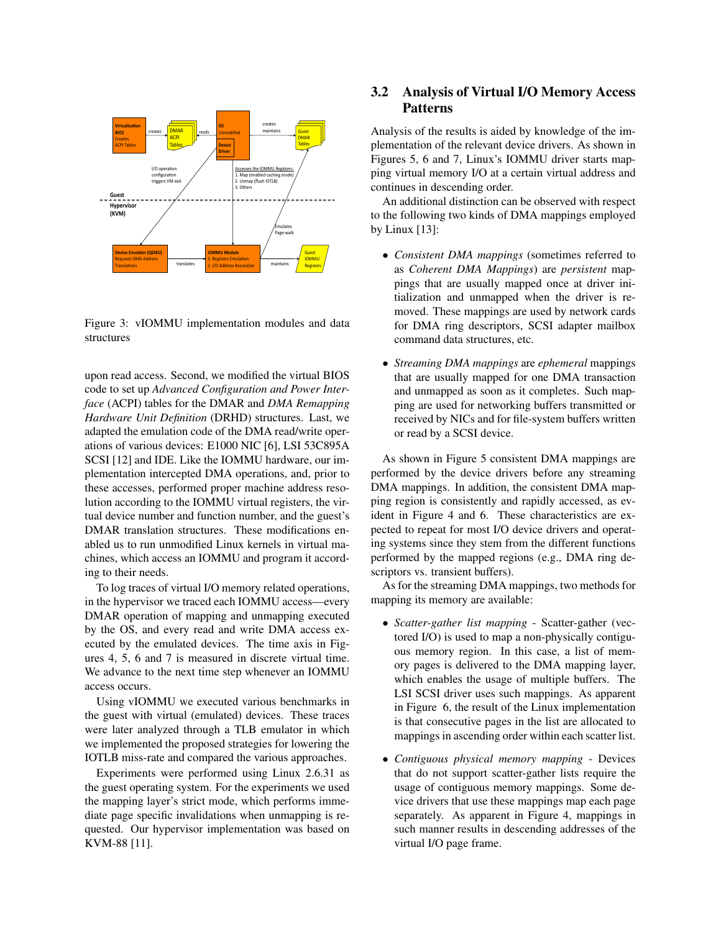

Figure 3: vIOMMU implementation modules and data structures

upon read access. Second, we modified the virtual BIOS code to set up *Advanced Configuration and Power Interface* (ACPI) tables for the DMAR and *DMA Remapping Hardware Unit Definition* (DRHD) structures. Last, we adapted the emulation code of the DMA read/write operations of various devices: E1000 NIC [6], LSI 53C895A SCSI [12] and IDE. Like the IOMMU hardware, our implementation intercepted DMA operations, and, prior to these accesses, performed proper machine address resolution according to the IOMMU virtual registers, the virtual device number and function number, and the guest's DMAR translation structures. These modifications enabled us to run unmodified Linux kernels in virtual machines, which access an IOMMU and program it according to their needs.

To log traces of virtual I/O memory related operations, in the hypervisor we traced each IOMMU access—every DMAR operation of mapping and unmapping executed by the OS, and every read and write DMA access executed by the emulated devices. The time axis in Figures 4, 5, 6 and 7 is measured in discrete virtual time. We advance to the next time step whenever an IOMMU access occurs.

Using vIOMMU we executed various benchmarks in the guest with virtual (emulated) devices. These traces were later analyzed through a TLB emulator in which we implemented the proposed strategies for lowering the IOTLB miss-rate and compared the various approaches.

Experiments were performed using Linux 2.6.31 as the guest operating system. For the experiments we used the mapping layer's strict mode, which performs immediate page specific invalidations when unmapping is requested. Our hypervisor implementation was based on KVM-88 [11].

## 3.2 Analysis of Virtual I/O Memory Access Patterns

Analysis of the results is aided by knowledge of the implementation of the relevant device drivers. As shown in Figures 5, 6 and 7, Linux's IOMMU driver starts mapping virtual memory I/O at a certain virtual address and continues in descending order.

An additional distinction can be observed with respect to the following two kinds of DMA mappings employed by Linux [13]:

- *Consistent DMA mappings* (sometimes referred to as *Coherent DMA Mappings*) are *persistent* mappings that are usually mapped once at driver initialization and unmapped when the driver is removed. These mappings are used by network cards for DMA ring descriptors, SCSI adapter mailbox command data structures, etc.
- *Streaming DMA mappings* are *ephemeral* mappings that are usually mapped for one DMA transaction and unmapped as soon as it completes. Such mapping are used for networking buffers transmitted or received by NICs and for file-system buffers written or read by a SCSI device.

As shown in Figure 5 consistent DMA mappings are performed by the device drivers before any streaming DMA mappings. In addition, the consistent DMA mapping region is consistently and rapidly accessed, as evident in Figure 4 and 6. These characteristics are expected to repeat for most I/O device drivers and operating systems since they stem from the different functions performed by the mapped regions (e.g., DMA ring descriptors vs. transient buffers).

As for the streaming DMA mappings, two methods for mapping its memory are available:

- *Scatter-gather list mapping* Scatter-gather (vectored I/O) is used to map a non-physically contiguous memory region. In this case, a list of memory pages is delivered to the DMA mapping layer, which enables the usage of multiple buffers. The LSI SCSI driver uses such mappings. As apparent in Figure 6, the result of the Linux implementation is that consecutive pages in the list are allocated to mappings in ascending order within each scatter list.
- *Contiguous physical memory mapping* Devices that do not support scatter-gather lists require the usage of contiguous memory mappings. Some device drivers that use these mappings map each page separately. As apparent in Figure 4, mappings in such manner results in descending addresses of the virtual I/O page frame.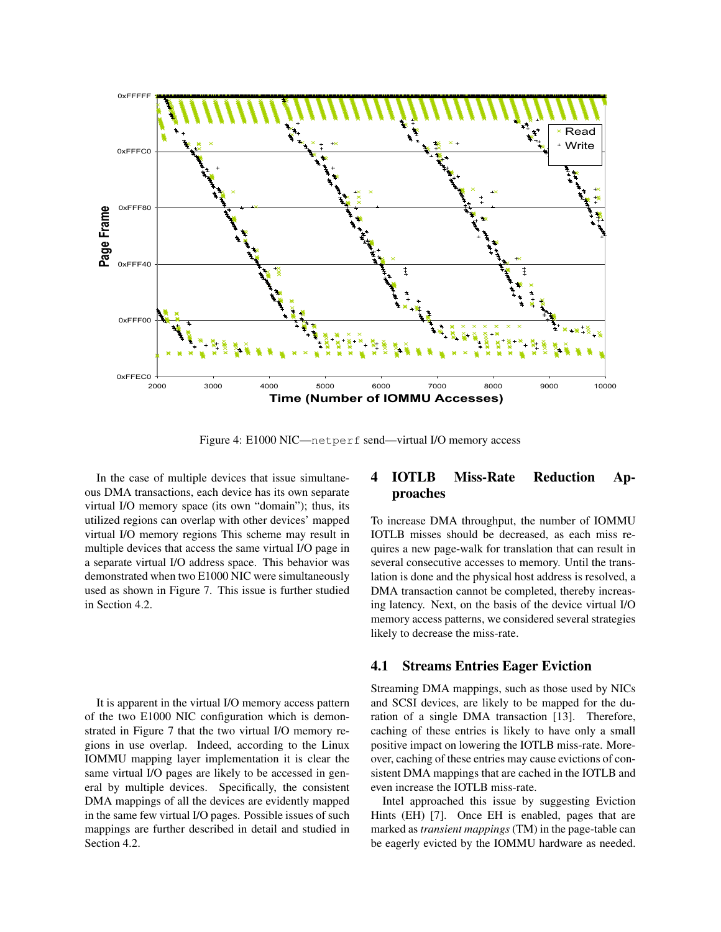

Figure 4: E1000 NIC—netperf send—virtual I/O memory access

In the case of multiple devices that issue simultaneous DMA transactions, each device has its own separate virtual I/O memory space (its own "domain"); thus, its utilized regions can overlap with other devices' mapped virtual I/O memory regions This scheme may result in multiple devices that access the same virtual I/O page in a separate virtual I/O address space. This behavior was demonstrated when two E1000 NIC were simultaneously used as shown in Figure 7. This issue is further studied in Section 4.2.

It is apparent in the virtual I/O memory access pattern of the two E1000 NIC configuration which is demonstrated in Figure 7 that the two virtual I/O memory regions in use overlap. Indeed, according to the Linux IOMMU mapping layer implementation it is clear the same virtual I/O pages are likely to be accessed in general by multiple devices. Specifically, the consistent DMA mappings of all the devices are evidently mapped in the same few virtual I/O pages. Possible issues of such mappings are further described in detail and studied in Section 4.2.

## 4 IOTLB Miss-Rate Reduction Approaches

To increase DMA throughput, the number of IOMMU IOTLB misses should be decreased, as each miss requires a new page-walk for translation that can result in several consecutive accesses to memory. Until the translation is done and the physical host address is resolved, a DMA transaction cannot be completed, thereby increasing latency. Next, on the basis of the device virtual I/O memory access patterns, we considered several strategies likely to decrease the miss-rate.

## 4.1 Streams Entries Eager Eviction

Streaming DMA mappings, such as those used by NICs and SCSI devices, are likely to be mapped for the duration of a single DMA transaction [13]. Therefore, caching of these entries is likely to have only a small positive impact on lowering the IOTLB miss-rate. Moreover, caching of these entries may cause evictions of consistent DMA mappings that are cached in the IOTLB and even increase the IOTLB miss-rate.

Intel approached this issue by suggesting Eviction Hints (EH) [7]. Once EH is enabled, pages that are marked as *transient mappings* (TM) in the page-table can be eagerly evicted by the IOMMU hardware as needed.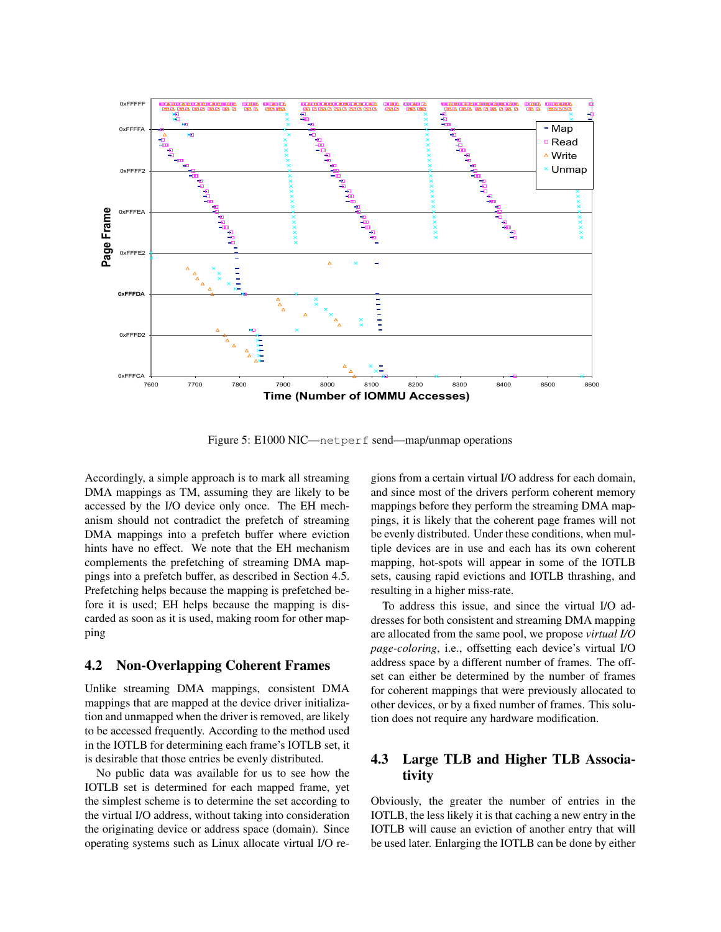

Figure 5: E1000 NIC—netperf send—map/unmap operations

Accordingly, a simple approach is to mark all streaming DMA mappings as TM, assuming they are likely to be accessed by the I/O device only once. The EH mechanism should not contradict the prefetch of streaming DMA mappings into a prefetch buffer where eviction hints have no effect. We note that the EH mechanism complements the prefetching of streaming DMA mappings into a prefetch buffer, as described in Section 4.5. Prefetching helps because the mapping is prefetched before it is used; EH helps because the mapping is discarded as soon as it is used, making room for other mapping

## 4.2 Non-Overlapping Coherent Frames

Unlike streaming DMA mappings, consistent DMA mappings that are mapped at the device driver initialization and unmapped when the driver is removed, are likely to be accessed frequently. According to the method used in the IOTLB for determining each frame's IOTLB set, it is desirable that those entries be evenly distributed.

No public data was available for us to see how the IOTLB set is determined for each mapped frame, yet the simplest scheme is to determine the set according to the virtual I/O address, without taking into consideration the originating device or address space (domain). Since operating systems such as Linux allocate virtual I/O regions from a certain virtual I/O address for each domain, and since most of the drivers perform coherent memory mappings before they perform the streaming DMA mappings, it is likely that the coherent page frames will not be evenly distributed. Under these conditions, when multiple devices are in use and each has its own coherent mapping, hot-spots will appear in some of the IOTLB sets, causing rapid evictions and IOTLB thrashing, and resulting in a higher miss-rate.

To address this issue, and since the virtual I/O addresses for both consistent and streaming DMA mapping are allocated from the same pool, we propose *virtual I/O page-coloring*, i.e., offsetting each device's virtual I/O address space by a different number of frames. The offset can either be determined by the number of frames for coherent mappings that were previously allocated to other devices, or by a fixed number of frames. This solution does not require any hardware modification.

## 4.3 Large TLB and Higher TLB Associativity

Obviously, the greater the number of entries in the IOTLB, the less likely it is that caching a new entry in the IOTLB will cause an eviction of another entry that will be used later. Enlarging the IOTLB can be done by either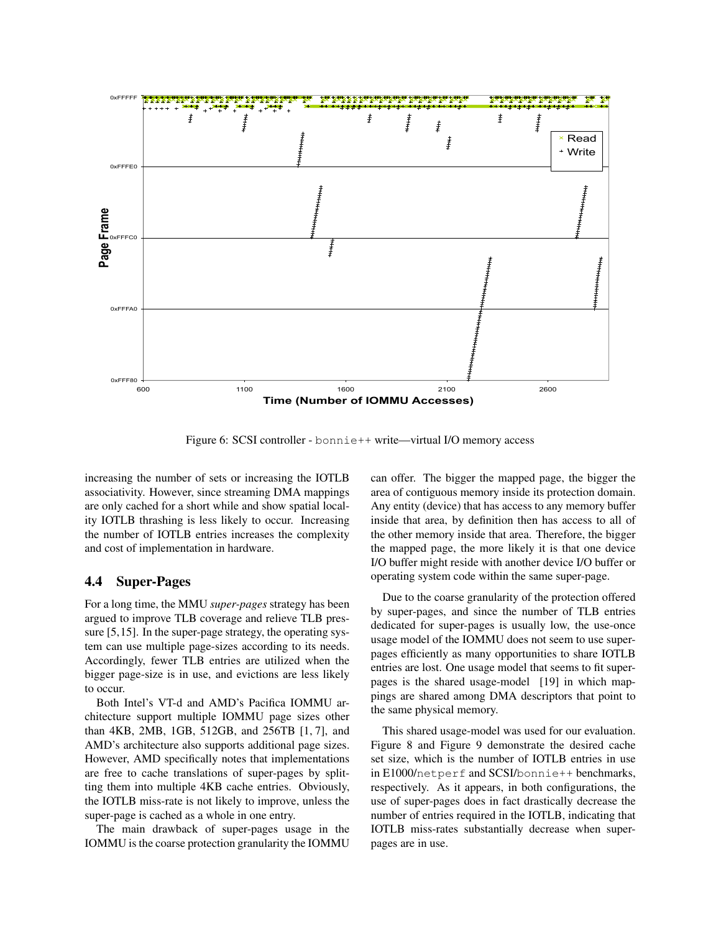

Figure 6: SCSI controller - bonnie++ write—virtual I/O memory access

increasing the number of sets or increasing the IOTLB associativity. However, since streaming DMA mappings are only cached for a short while and show spatial locality IOTLB thrashing is less likely to occur. Increasing the number of IOTLB entries increases the complexity and cost of implementation in hardware.

## 4.4 Super-Pages

For a long time, the MMU *super-pages* strategy has been argued to improve TLB coverage and relieve TLB pressure [5,15]. In the super-page strategy, the operating system can use multiple page-sizes according to its needs. Accordingly, fewer TLB entries are utilized when the bigger page-size is in use, and evictions are less likely to occur.

Both Intel's VT-d and AMD's Pacifica IOMMU architecture support multiple IOMMU page sizes other than 4KB, 2MB, 1GB, 512GB, and 256TB [1, 7], and AMD's architecture also supports additional page sizes. However, AMD specifically notes that implementations are free to cache translations of super-pages by splitting them into multiple 4KB cache entries. Obviously, the IOTLB miss-rate is not likely to improve, unless the super-page is cached as a whole in one entry.

The main drawback of super-pages usage in the IOMMU is the coarse protection granularity the IOMMU can offer. The bigger the mapped page, the bigger the area of contiguous memory inside its protection domain. Any entity (device) that has access to any memory buffer inside that area, by definition then has access to all of the other memory inside that area. Therefore, the bigger the mapped page, the more likely it is that one device I/O buffer might reside with another device I/O buffer or operating system code within the same super-page.

Due to the coarse granularity of the protection offered by super-pages, and since the number of TLB entries dedicated for super-pages is usually low, the use-once usage model of the IOMMU does not seem to use superpages efficiently as many opportunities to share IOTLB entries are lost. One usage model that seems to fit superpages is the shared usage-model [19] in which mappings are shared among DMA descriptors that point to the same physical memory.

This shared usage-model was used for our evaluation. Figure 8 and Figure 9 demonstrate the desired cache set size, which is the number of IOTLB entries in use in E1000/netperf and SCSI/bonnie++ benchmarks, respectively. As it appears, in both configurations, the use of super-pages does in fact drastically decrease the number of entries required in the IOTLB, indicating that IOTLB miss-rates substantially decrease when superpages are in use.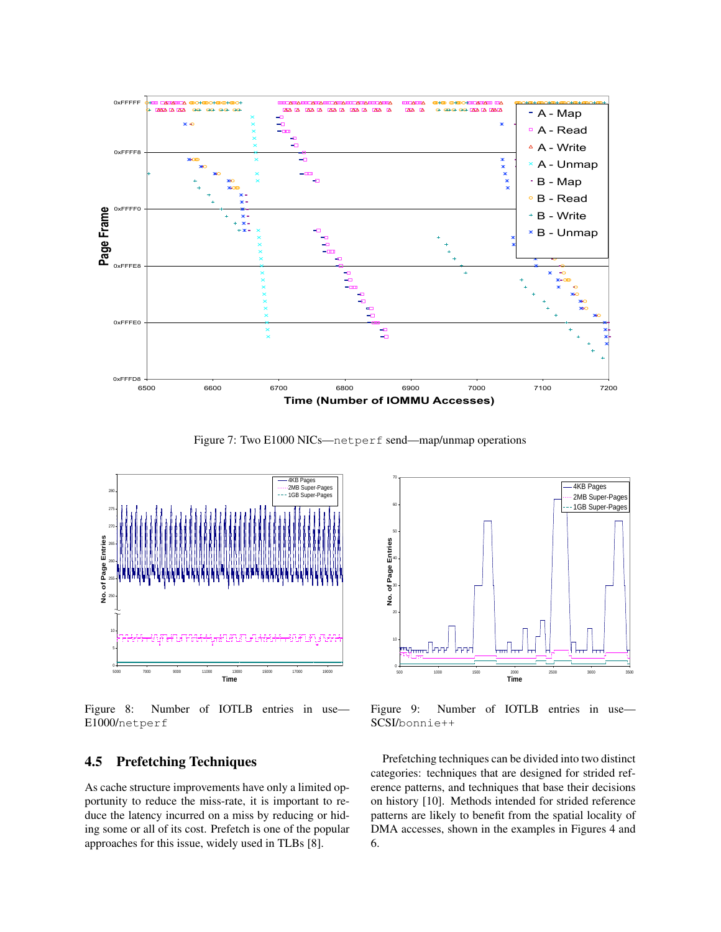

Figure 7: Two E1000 NICs—netperf send—map/unmap operations



Figure 8: Number of IOTLB entries in use— E1000/netperf

## 4.5 Prefetching Techniques

As cache structure improvements have only a limited opportunity to reduce the miss-rate, it is important to reduce the latency incurred on a miss by reducing or hiding some or all of its cost. Prefetch is one of the popular approaches for this issue, widely used in TLBs [8].



Figure 9: Number of IOTLB entries in use— SCSI/bonnie++

Prefetching techniques can be divided into two distinct categories: techniques that are designed for strided reference patterns, and techniques that base their decisions on history [10]. Methods intended for strided reference patterns are likely to benefit from the spatial locality of DMA accesses, shown in the examples in Figures 4 and 6.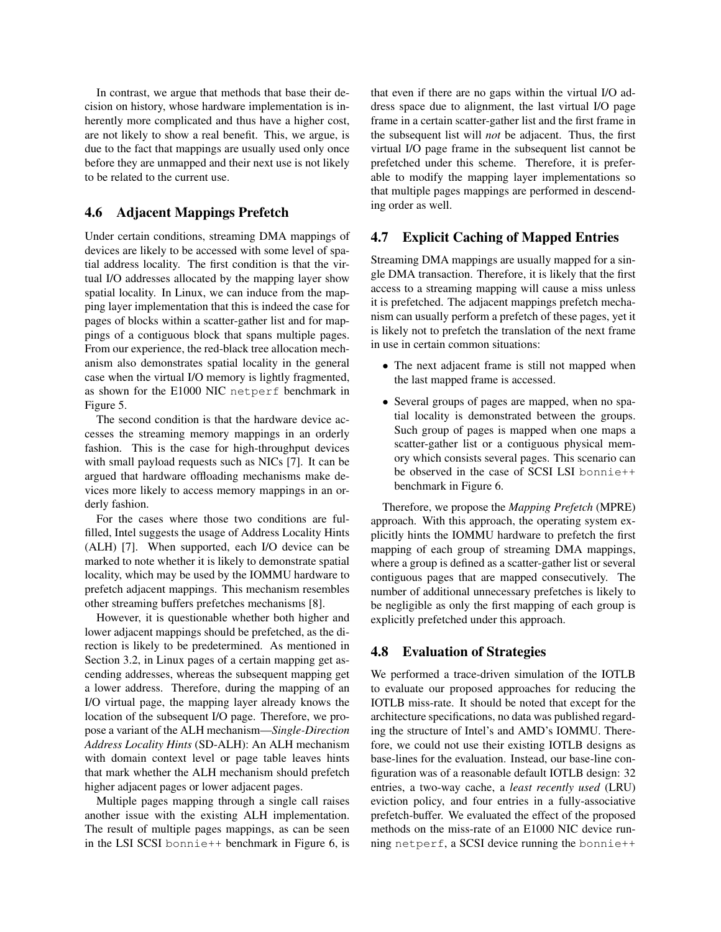In contrast, we argue that methods that base their decision on history, whose hardware implementation is inherently more complicated and thus have a higher cost, are not likely to show a real benefit. This, we argue, is due to the fact that mappings are usually used only once before they are unmapped and their next use is not likely to be related to the current use.

## 4.6 Adjacent Mappings Prefetch

Under certain conditions, streaming DMA mappings of devices are likely to be accessed with some level of spatial address locality. The first condition is that the virtual I/O addresses allocated by the mapping layer show spatial locality. In Linux, we can induce from the mapping layer implementation that this is indeed the case for pages of blocks within a scatter-gather list and for mappings of a contiguous block that spans multiple pages. From our experience, the red-black tree allocation mechanism also demonstrates spatial locality in the general case when the virtual I/O memory is lightly fragmented, as shown for the E1000 NIC netperf benchmark in Figure 5.

The second condition is that the hardware device accesses the streaming memory mappings in an orderly fashion. This is the case for high-throughput devices with small payload requests such as NICs [7]. It can be argued that hardware offloading mechanisms make devices more likely to access memory mappings in an orderly fashion.

For the cases where those two conditions are fulfilled, Intel suggests the usage of Address Locality Hints (ALH) [7]. When supported, each I/O device can be marked to note whether it is likely to demonstrate spatial locality, which may be used by the IOMMU hardware to prefetch adjacent mappings. This mechanism resembles other streaming buffers prefetches mechanisms [8].

However, it is questionable whether both higher and lower adjacent mappings should be prefetched, as the direction is likely to be predetermined. As mentioned in Section 3.2, in Linux pages of a certain mapping get ascending addresses, whereas the subsequent mapping get a lower address. Therefore, during the mapping of an I/O virtual page, the mapping layer already knows the location of the subsequent I/O page. Therefore, we propose a variant of the ALH mechanism—*Single-Direction Address Locality Hints* (SD-ALH): An ALH mechanism with domain context level or page table leaves hints that mark whether the ALH mechanism should prefetch higher adjacent pages or lower adjacent pages.

Multiple pages mapping through a single call raises another issue with the existing ALH implementation. The result of multiple pages mappings, as can be seen in the LSI SCSI bonnie++ benchmark in Figure 6, is that even if there are no gaps within the virtual I/O address space due to alignment, the last virtual I/O page frame in a certain scatter-gather list and the first frame in the subsequent list will *not* be adjacent. Thus, the first virtual I/O page frame in the subsequent list cannot be prefetched under this scheme. Therefore, it is preferable to modify the mapping layer implementations so that multiple pages mappings are performed in descending order as well.

## 4.7 Explicit Caching of Mapped Entries

Streaming DMA mappings are usually mapped for a single DMA transaction. Therefore, it is likely that the first access to a streaming mapping will cause a miss unless it is prefetched. The adjacent mappings prefetch mechanism can usually perform a prefetch of these pages, yet it is likely not to prefetch the translation of the next frame in use in certain common situations:

- The next adjacent frame is still not mapped when the last mapped frame is accessed.
- Several groups of pages are mapped, when no spatial locality is demonstrated between the groups. Such group of pages is mapped when one maps a scatter-gather list or a contiguous physical memory which consists several pages. This scenario can be observed in the case of SCSI LSI bonnie++ benchmark in Figure 6.

Therefore, we propose the *Mapping Prefetch* (MPRE) approach. With this approach, the operating system explicitly hints the IOMMU hardware to prefetch the first mapping of each group of streaming DMA mappings, where a group is defined as a scatter-gather list or several contiguous pages that are mapped consecutively. The number of additional unnecessary prefetches is likely to be negligible as only the first mapping of each group is explicitly prefetched under this approach.

## 4.8 Evaluation of Strategies

We performed a trace-driven simulation of the IOTLB to evaluate our proposed approaches for reducing the IOTLB miss-rate. It should be noted that except for the architecture specifications, no data was published regarding the structure of Intel's and AMD's IOMMU. Therefore, we could not use their existing IOTLB designs as base-lines for the evaluation. Instead, our base-line configuration was of a reasonable default IOTLB design: 32 entries, a two-way cache, a *least recently used* (LRU) eviction policy, and four entries in a fully-associative prefetch-buffer. We evaluated the effect of the proposed methods on the miss-rate of an E1000 NIC device running netperf, a SCSI device running the bonnie++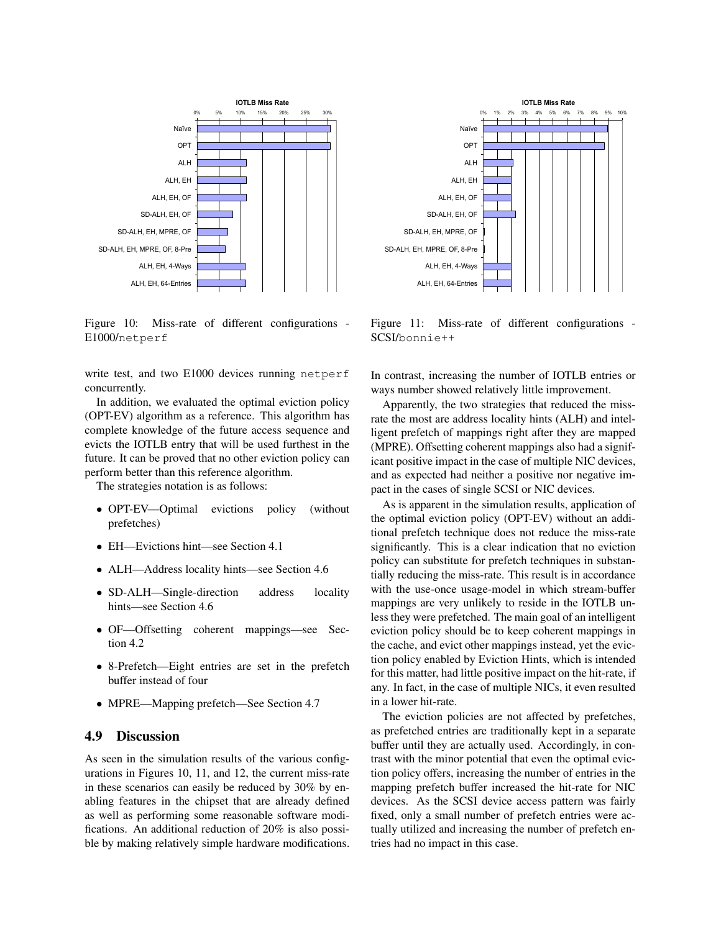

Figure 10: Miss-rate of different configurations - E1000/netperf

write test, and two E1000 devices running netperf concurrently.

In addition, we evaluated the optimal eviction policy (OPT-EV) algorithm as a reference. This algorithm has complete knowledge of the future access sequence and evicts the IOTLB entry that will be used furthest in the future. It can be proved that no other eviction policy can perform better than this reference algorithm.

The strategies notation is as follows:

- OPT-EV—Optimal evictions policy (without prefetches)
- EH—Evictions hint—see Section 4.1
- ALH—Address locality hints—see Section 4.6
- SD-ALH—Single-direction address locality hints—see Section 4.6
- OF—Offsetting coherent mappings—see Section 4.2
- 8-Prefetch—Eight entries are set in the prefetch buffer instead of four
- MPRE—Mapping prefetch—See Section 4.7

#### 4.9 Discussion

As seen in the simulation results of the various configurations in Figures 10, 11, and 12, the current miss-rate in these scenarios can easily be reduced by 30% by enabling features in the chipset that are already defined as well as performing some reasonable software modifications. An additional reduction of 20% is also possible by making relatively simple hardware modifications.



Figure 11: Miss-rate of different configurations - SCSI/bonnie++

In contrast, increasing the number of IOTLB entries or ways number showed relatively little improvement.

Apparently, the two strategies that reduced the missrate the most are address locality hints (ALH) and intelligent prefetch of mappings right after they are mapped (MPRE). Offsetting coherent mappings also had a significant positive impact in the case of multiple NIC devices, and as expected had neither a positive nor negative impact in the cases of single SCSI or NIC devices.

As is apparent in the simulation results, application of the optimal eviction policy (OPT-EV) without an additional prefetch technique does not reduce the miss-rate significantly. This is a clear indication that no eviction policy can substitute for prefetch techniques in substantially reducing the miss-rate. This result is in accordance with the use-once usage-model in which stream-buffer mappings are very unlikely to reside in the IOTLB unless they were prefetched. The main goal of an intelligent eviction policy should be to keep coherent mappings in the cache, and evict other mappings instead, yet the eviction policy enabled by Eviction Hints, which is intended for this matter, had little positive impact on the hit-rate, if any. In fact, in the case of multiple NICs, it even resulted in a lower hit-rate.

The eviction policies are not affected by prefetches, as prefetched entries are traditionally kept in a separate buffer until they are actually used. Accordingly, in contrast with the minor potential that even the optimal eviction policy offers, increasing the number of entries in the mapping prefetch buffer increased the hit-rate for NIC devices. As the SCSI device access pattern was fairly fixed, only a small number of prefetch entries were actually utilized and increasing the number of prefetch entries had no impact in this case.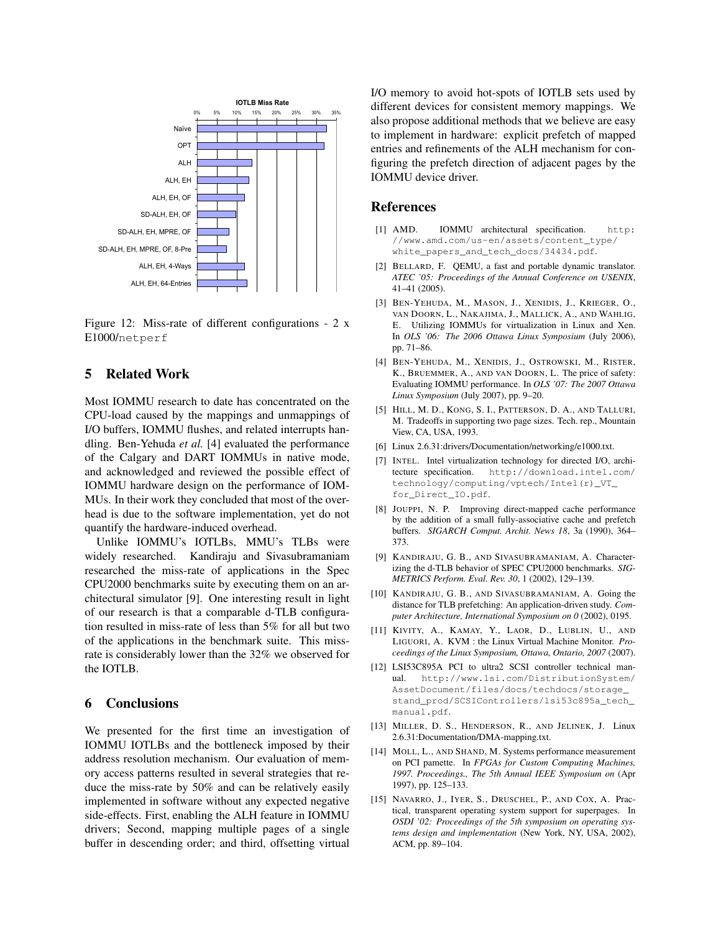

Figure 12: Miss-rate of different configurations - 2 x E1000/netperf

### 5 Related Work

Most IOMMU research to date has concentrated on the CPU-load caused by the mappings and unmappings of I/O buffers, IOMMU flushes, and related interrupts handling. Ben-Yehuda *et al.* [4] evaluated the performance of the Calgary and DART IOMMUs in native mode, and acknowledged and reviewed the possible effect of IOMMU hardware design on the performance of IOM-MUs. In their work they concluded that most of the overhead is due to the software implementation, yet do not quantify the hardware-induced overhead.

Unlike IOMMU's IOTLBs, MMU's TLBs were widely researched. Kandiraju and Sivasubramaniam researched the miss-rate of applications in the Spec CPU2000 benchmarks suite by executing them on an architectural simulator [9]. One interesting result in light of our research is that a comparable d-TLB configuration resulted in miss-rate of less than 5% for all but two of the applications in the benchmark suite. This missrate is considerably lower than the 32% we observed for the IOTLB.

#### 6 Conclusions

We presented for the first time an investigation of IOMMU IOTLBs and the bottleneck imposed by their address resolution mechanism. Our evaluation of memory access patterns resulted in several strategies that reduce the miss-rate by 50% and can be relatively easily implemented in software without any expected negative side-effects. First, enabling the ALH feature in IOMMU drivers; Second, mapping multiple pages of a single buffer in descending order; and third, offsetting virtual I/O memory to avoid hot-spots of IOTLB sets used by different devices for consistent memory mappings. We also propose additional methods that we believe are easy to implement in hardware: explicit prefetch of mapped entries and refinements of the ALH mechanism for configuring the prefetch direction of adjacent pages by the IOMMU device driver.

#### References

- [1] AMD. IOMMU architectural specification. http: //www.amd.com/us-en/assets/content\_type/ white\_papers\_and\_tech\_docs/34434.pdf.
- [2] BELLARD, F. QEMU, a fast and portable dynamic translator. *ATEC '05: Proceedings of the Annual Conference on USENIX*, 41–41 (2005).
- [3] BEN-YEHUDA, M., MASON, J., XENIDIS, J., KRIEGER, O., VAN DOORN, L., NAKAJIMA, J., MALLICK, A., AND WAHLIG, E. Utilizing IOMMUs for virtualization in Linux and Xen. In *OLS '06: The 2006 Ottawa Linux Symposium* (July 2006), pp. 71–86.
- [4] BEN-YEHUDA, M., XENIDIS, J., OSTROWSKI, M., RISTER, K., BRUEMMER, A., AND VAN DOORN, L. The price of safety: Evaluating IOMMU performance. In *OLS '07: The 2007 Ottawa Linux Symposium* (July 2007), pp. 9–20.
- [5] HILL, M. D., KONG, S. I., PATTERSON, D. A., AND TALLURI, M. Tradeoffs in supporting two page sizes. Tech. rep., Mountain View, CA, USA, 1993.
- [6] Linux 2.6.31:drivers/Documentation/networking/e1000.txt.
- [7] INTEL. Intel virtualization technology for directed I/O, architecture specification. http://download.intel.com/ technology/computing/vptech/Intel(r)\_VT\_ for\_Direct\_IO.pdf.
- [8] JOUPPI, N. P. Improving direct-mapped cache performance by the addition of a small fully-associative cache and prefetch buffers. *SIGARCH Comput. Archit. News 18*, 3a (1990), 364– 373.
- [9] KANDIRAJU, G. B., AND SIVASUBRAMANIAM, A. Characterizing the d-TLB behavior of SPEC CPU2000 benchmarks. *SIG-METRICS Perform. Eval. Rev. 30*, 1 (2002), 129–139.
- [10] KANDIRAJU, G. B., AND SIVASUBRAMANIAM, A. Going the distance for TLB prefetching: An application-driven study. *Computer Architecture, International Symposium on 0* (2002), 0195.
- [11] KIVITY, A., KAMAY, Y., LAOR, D., LUBLIN, U., AND LIGUORI, A. KVM : the Linux Virtual Machine Monitor. *Proceedings of the Linux Symposium, Ottawa, Ontario, 2007* (2007).
- [12] LSI53C895A PCI to ultra2 SCSI controller technical manual. http://www.lsi.com/DistributionSystem/ AssetDocument/files/docs/techdocs/storage\_ stand\_prod/SCSIControllers/lsi53c895a\_tech\_ manual.pdf.
- [13] MILLER, D. S., HENDERSON, R., AND JELINEK, J. Linux 2.6.31:Documentation/DMA-mapping.txt.
- [14] MOLL, L., AND SHAND, M. Systems performance measurement on PCI pamette. In *FPGAs for Custom Computing Machines, 1997. Proceedings., The 5th Annual IEEE Symposium on* (Apr 1997), pp. 125–133.
- [15] NAVARRO, J., IYER, S., DRUSCHEL, P., AND COX, A. Practical, transparent operating system support for superpages. In *OSDI '02: Proceedings of the 5th symposium on operating systems design and implementation* (New York, NY, USA, 2002), ACM, pp. 89–104.